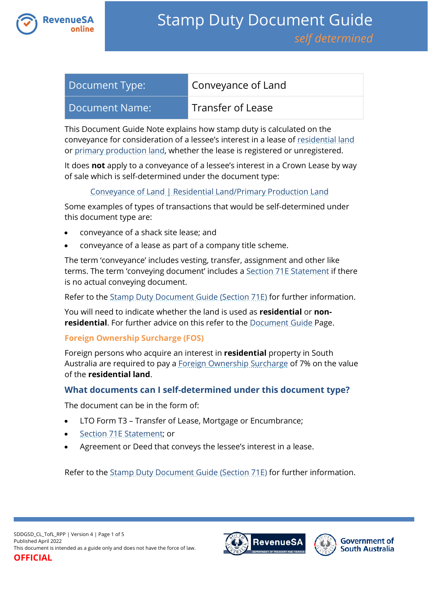

| Document Type: | Conveyance of Land |
|----------------|--------------------|
| Document Name: | Transfer of Lease  |

This Document Guide Note explains how stamp duty is calculated on the conveyance for consideration of a lessee's interest in a lease of [residential land](https://www.revenuesa.sa.gov.au/stampduty/stamp-duty-document-guide#RR&PP) or [primary production land,](https://www.revenuesa.sa.gov.au/stampduty/stamp-duty-document-guide#RR&PP) whether the lease is registered or unregistered.

It does **not** apply to a conveyance of a lessee's interest in a Crown Lease by way of sale which is self-determined under the document type:

## [Conveyance of Land | Residential Land/Primary Production Land](https://www.revenuesa.sa.gov.au/stampduty/stamp-duty-document-guide/self-determined/conveyance-of-land/sddgsd_cl_rpp)

Some examples of types of transactions that would be self-determined under this document type are:

- conveyance of a shack site lease; and
- conveyance of a lease as part of a company title scheme.

The term 'conveyance' includes vesting, transfer, assignment and other like terms. The term 'conveying document' includes [a Section 71E Statement](https://www.revenuesa.sa.gov.au/forms-and-publications/documents/forms/71estatement.pdf) if there is no actual conveying document.

Refer to the [Stamp Duty Document Guide \(Section 71E\)](https://www.revenuesa.sa.gov.au/stampduty/stamp-duty-document-guide/section71e) for further information.

You will need to indicate whether the land is used as **residential** or **nonresidential**. For further advice on this refer to the [Document Guide](https://www.revenuesa.sa.gov.au/stampduty/stamp-duty-document-guide#Glossary) Page.

## **Foreign Ownership Surcharge (FOS)**

Foreign persons who acquire an interest in **residential** property in South Australia are required to pay a [Foreign Ownership Surcharge](https://www.revenuesa.sa.gov.au/stampduty/stamp-duty-document-guide#FOS) of 7% on the value of the **residential land**.

# **What documents can I self-determined under this document type?**

The document can be in the form of:

- LTO Form T3 Transfer of Lease, Mortgage or Encumbrance;
- [Section 71E Statement;](https://www.revenuesa.sa.gov.au/forms-and-publications/documents/forms/71estatement.pdf) or
- Agreement or Deed that conveys the lessee's interest in a lease.

Refer to the [Stamp Duty Document Guide \(Section 71E\)](https://www.revenuesa.sa.gov.au/stampduty/stamp-duty-document-guide/section71e) for further information.



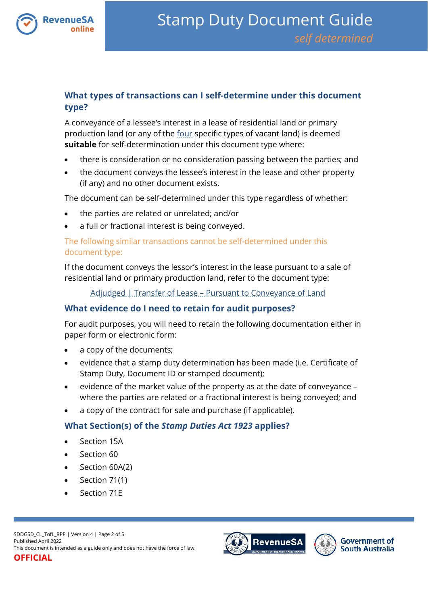

# **What types of transactions can I self-determine under this document type?**

A conveyance of a lessee's interest in a lease of residential land or primary production land (or any of the [four](https://www.revenuesa.sa.gov.au/stampduty/real-property-land#NotQualifyingLand) specific types of vacant land) is deemed **suitable** for self-determination under this document type where:

- there is consideration or no consideration passing between the parties; and
- the document conveys the lessee's interest in the lease and other property (if any) and no other document exists.

The document can be self-determined under this type regardless of whether:

- the parties are related or unrelated; and/or
- a full or fractional interest is being conveyed.

## The following similar transactions cannot be self-determined under this document type:

If the document conveys the lessor's interest in the lease pursuant to a sale of residential land or primary production land, refer to the document type:

Adjudged | Transfer of Lease – [Pursuant to Conveyance of Land](https://www.revenuesa.sa.gov.au/stampduty/stamp-duty-document-guide/self-determined/adjudged/sddgsd_a_tofl)

# **What evidence do I need to retain for audit purposes?**

For audit purposes, you will need to retain the following documentation either in paper form or electronic form:

- a copy of the documents;
- evidence that a stamp duty determination has been made (i.e. Certificate of Stamp Duty, Document ID or stamped document);
- evidence of the market value of the property as at the date of conveyance where the parties are related or a fractional interest is being conveyed; and
- a copy of the contract for sale and purchase (if applicable).

# **What Section(s) of the** *Stamp Duties Act 1923* **applies?**

- Section 15A
- Section 60
- Section 60A(2)
- Section 71(1)
- Section 71E

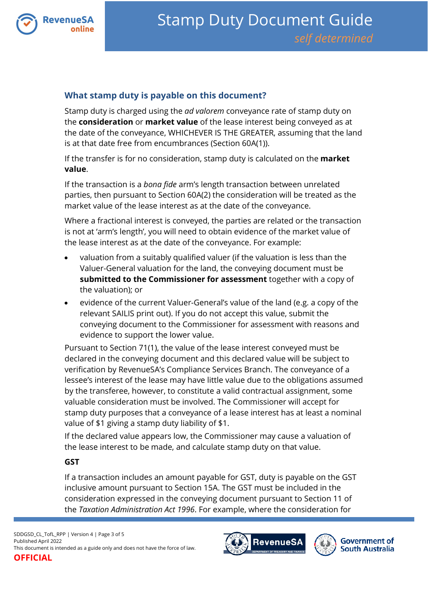

# **What stamp duty is payable on this document?**

Stamp duty is charged using the *ad valorem* conveyance rate of stamp duty on the **consideration** or **market value** of the lease interest being conveyed as at the date of the conveyance, WHICHEVER IS THE GREATER, assuming that the land is at that date free from encumbrances (Section 60A(1)).

If the transfer is for no consideration, stamp duty is calculated on the **market value**.

If the transaction is a *bona fide* arm's length transaction between unrelated parties, then pursuant to Section 60A(2) the consideration will be treated as the market value of the lease interest as at the date of the conveyance.

Where a fractional interest is conveyed, the parties are related or the transaction is not at 'arm's length', you will need to obtain evidence of the market value of the lease interest as at the date of the conveyance. For example:

- valuation from a suitably qualified valuer (if the valuation is less than the Valuer-General valuation for the land, the conveying document must be **submitted to the Commissioner for assessment** together with a copy of the valuation); or
- evidence of the current Valuer-General's value of the land (e.g. a copy of the relevant SAILIS print out). If you do not accept this value, submit the conveying document to the Commissioner for assessment with reasons and evidence to support the lower value.

Pursuant to Section 71(1), the value of the lease interest conveyed must be declared in the conveying document and this declared value will be subject to verification by RevenueSA's Compliance Services Branch. The conveyance of a lessee's interest of the lease may have little value due to the obligations assumed by the transferee, however, to constitute a valid contractual assignment, some valuable consideration must be involved. The Commissioner will accept for stamp duty purposes that a conveyance of a lease interest has at least a nominal value of \$1 giving a stamp duty liability of \$1.

If the declared value appears low, the Commissioner may cause a valuation of the lease interest to be made, and calculate stamp duty on that value.

#### **GST**

If a transaction includes an amount payable for GST, duty is payable on the GST inclusive amount pursuant to Section 15A. The GST must be included in the consideration expressed in the conveying document pursuant to Section 11 of the *Taxation Administration Act 1996*. For example, where the consideration for

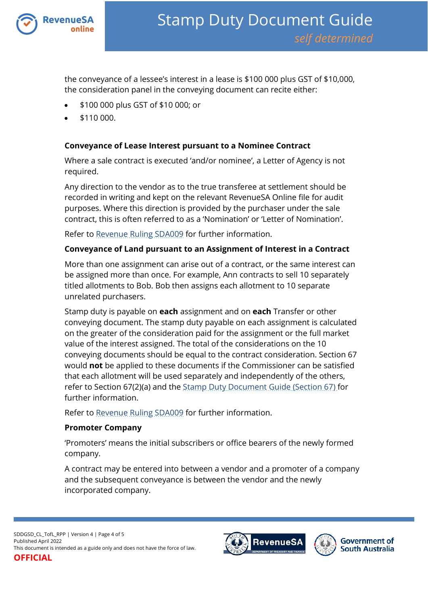

the conveyance of a lessee's interest in a lease is \$100 000 plus GST of \$10,000, the consideration panel in the conveying document can recite either:

- \$100 000 plus GST of \$10 000; or
- \$110 000.

## **Conveyance of Lease Interest pursuant to a Nominee Contract**

Where a sale contract is executed 'and/or nominee', a Letter of Agency is not required.

Any direction to the vendor as to the true transferee at settlement should be recorded in writing and kept on the relevant RevenueSA Online file for audit purposes. Where this direction is provided by the purchaser under the sale contract, this is often referred to as a 'Nomination' or 'Letter of Nomination'.

Refer to [Revenue Ruling SDA009](https://www.revenuesa.sa.gov.au/forms-and-publications/information-circulars-and-revenue-rulings/revenue-rulings/sda009) for further information.

## **Conveyance of Land pursuant to an Assignment of Interest in a Contract**

More than one assignment can arise out of a contract, or the same interest can be assigned more than once. For example, Ann contracts to sell 10 separately titled allotments to Bob. Bob then assigns each allotment to 10 separate unrelated purchasers.

Stamp duty is payable on **each** assignment and on **each** Transfer or other conveying document. The stamp duty payable on each assignment is calculated on the greater of the consideration paid for the assignment or the full market value of the interest assigned. The total of the considerations on the 10 conveying documents should be equal to the contract consideration. Section 67 would **not** be applied to these documents if the Commissioner can be satisfied that each allotment will be used separately and independently of the others, refer to Section 67(2)(a) and the [Stamp Duty Document Guide \(Section 67\)](https://www.revenuesa.sa.gov.au/stampduty/stamp-duty-document-guide/section67) for further information.

Refer to [Revenue Ruling SDA009](https://www.revenuesa.sa.gov.au/forms-and-publications/information-circulars-and-revenue-rulings/revenue-rulings/sda009) for further information.

## **Promoter Company**

'Promoters' means the initial subscribers or office bearers of the newly formed company.

A contract may be entered into between a vendor and a promoter of a company and the subsequent conveyance is between the vendor and the newly incorporated company.